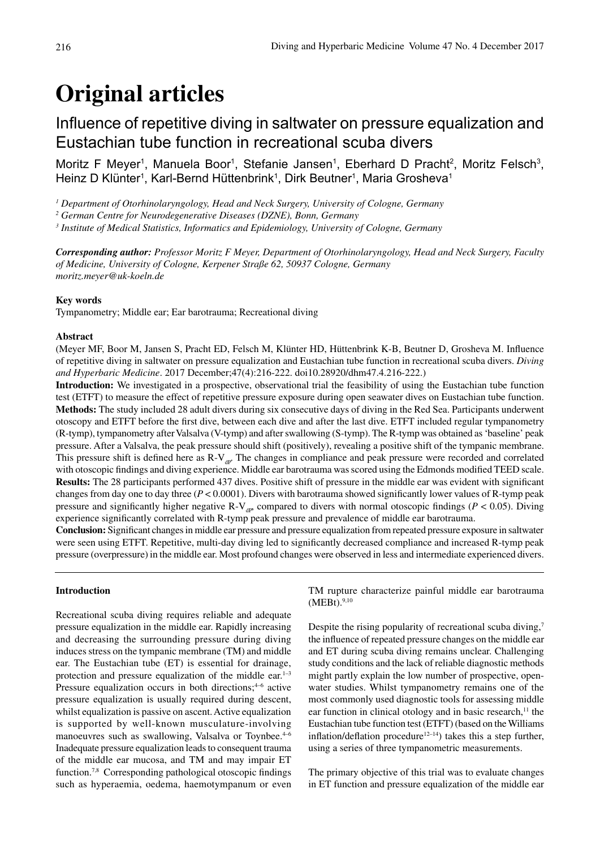# **Original articles**

# Influence of repetitive diving in saltwater on pressure equalization and Eustachian tube function in recreational scuba divers

Moritz F Meyer<sup>1</sup>, Manuela Boor<sup>1</sup>, Stefanie Jansen<sup>1</sup>, Eberhard D Pracht<sup>2</sup>, Moritz Felsch<sup>3</sup>, Heinz D Klünter<sup>1</sup>, Karl-Bernd Hüttenbrink<sup>1</sup>, Dirk Beutner<sup>1</sup>, Maria Grosheva<sup>1</sup>

*1 Department of Otorhinolaryngology, Head and Neck Surgery, University of Cologne, Germany*

*2 German Centre for Neurodegenerative Diseases (DZNE), Bonn, Germany* 

*3 Institute of Medical Statistics, Informatics and Epidemiology, University of Cologne, Germany*

*Corresponding author: Professor Moritz F Meyer, Department of Otorhinolaryngology, Head and Neck Surgery, Faculty of Medicine, University of Cologne, Kerpener Straße 62, 50937 Cologne, Germany moritz.meyer@uk-koeln.de*

#### **Key words**

Tympanometry; Middle ear; Ear barotrauma; Recreational diving

#### **Abstract**

(Meyer MF, Boor M, Jansen S, Pracht ED, Felsch M, Klünter HD, Hüttenbrink K-B, Beutner D, Grosheva M. Influence of repetitive diving in saltwater on pressure equalization and Eustachian tube function in recreational scuba divers. *Diving and Hyperbaric Medicine*. 2017 December;47(4):216-222. doi10.28920/dhm47.4.216-222.)

**Introduction:** We investigated in a prospective, observational trial the feasibility of using the Eustachian tube function test (ETFT) to measure the effect of repetitive pressure exposure during open seawater dives on Eustachian tube function. **Methods:** The study included 28 adult divers during six consecutive days of diving in the Red Sea. Participants underwent otoscopy and ETFT before the first dive, between each dive and after the last dive. ETFT included regular tympanometry (R-tymp), tympanometry after Valsalva (V-tymp) and after swallowing (S-tymp). The R-tymp was obtained as 'baseline' peak pressure. After a Valsalva, the peak pressure should shift (positively), revealing a positive shift of the tympanic membrane. This pressure shift is defined here as  $R-V_{dp}$ . The changes in compliance and peak pressure were recorded and correlated with otoscopic findings and diving experience. Middle ear barotrauma was scored using the Edmonds modified TEED scale. **Results:** The 28 participants performed 437 dives. Positive shift of pressure in the middle ear was evident with significant changes from day one to day three (*P* < 0.0001). Divers with barotrauma showed significantly lower values of R-tymp peak pressure and significantly higher negative R-V<sub>dP</sub>, compared to divers with normal otoscopic findings ( $P < 0.05$ ). Diving experience significantly correlated with R-tymp peak pressure and prevalence of middle ear barotrauma.

**Conclusion:** Significant changes in middle ear pressure and pressure equalization from repeated pressure exposure in saltwater were seen using ETFT. Repetitive, multi-day diving led to significantly decreased compliance and increased R-tymp peak pressure (overpressure) in the middle ear. Most profound changes were observed in less and intermediate experienced divers.

# **Introduction**

Recreational scuba diving requires reliable and adequate pressure equalization in the middle ear. Rapidly increasing and decreasing the surrounding pressure during diving induces stress on the tympanic membrane (TM) and middle ear. The Eustachian tube (ET) is essential for drainage, protection and pressure equalization of the middle ear. $1-3$ Pressure equalization occurs in both directions; $4-6$  active pressure equalization is usually required during descent, whilst equalization is passive on ascent. Active equalization is supported by well-known musculature-involving manoeuvres such as swallowing, Valsalva or Toynbee.<sup>4-6</sup> Inadequate pressure equalization leads to consequent trauma of the middle ear mucosa, and TM and may impair ET function.7,8 Corresponding pathological otoscopic findings such as hyperaemia, oedema, haemotympanum or even

TM rupture characterize painful middle ear barotrauma (MEBt).9,10

Despite the rising popularity of recreational scuba diving,<sup>7</sup> the influence of repeated pressure changes on the middle ear and ET during scuba diving remains unclear. Challenging study conditions and the lack of reliable diagnostic methods might partly explain the low number of prospective, openwater studies. Whilst tympanometry remains one of the most commonly used diagnostic tools for assessing middle ear function in clinical otology and in basic research, $11$  the Eustachian tube function test (ETFT) (based on the Williams inflation/deflation procedure<sup>12-14</sup>) takes this a step further, using a series of three tympanometric measurements.

The primary objective of this trial was to evaluate changes in ET function and pressure equalization of the middle ear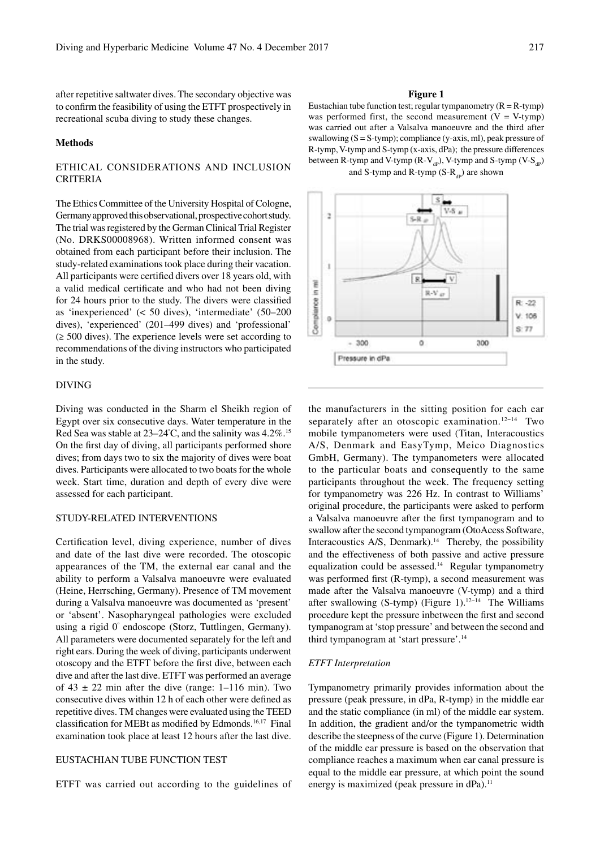after repetitive saltwater dives. The secondary objective was to confirm the feasibility of using the ETFT prospectively in recreational scuba diving to study these changes.

#### **Methods**

# ETHICAL CONSIDERATIONS AND INCLUSION CRITERIA

The Ethics Committee of the University Hospital of Cologne, Germany approved this observational, prospective cohort study. The trial was registered by the German Clinical Trial Register (No. DRKS00008968). Written informed consent was obtained from each participant before their inclusion. The study-related examinations took place during their vacation. All participants were certified divers over 18 years old, with a valid medical certificate and who had not been diving for 24 hours prior to the study. The divers were classified as 'inexperienced' (< 50 dives), 'intermediate' (50–200 dives), 'experienced' (201–499 dives) and 'professional' (≥ 500 dives). The experience levels were set according to recommendations of the diving instructors who participated in the study.

# DIVING

Diving was conducted in the Sharm el Sheikh region of Egypt over six consecutive days. Water temperature in the Red Sea was stable at 23–24°C, and the salinity was 4.2%.<sup>15</sup> On the first day of diving, all participants performed shore dives; from days two to six the majority of dives were boat dives. Participants were allocated to two boats for the whole week. Start time, duration and depth of every dive were assessed for each participant.

#### STUDY-RELATED INTERVENTIONS

Certification level, diving experience, number of dives and date of the last dive were recorded. The otoscopic appearances of the TM, the external ear canal and the ability to perform a Valsalva manoeuvre were evaluated (Heine, Herrsching, Germany). Presence of TM movement during a Valsalva manoeuvre was documented as 'present' or 'absent'. Nasopharyngeal pathologies were excluded using a rigid 0º endoscope (Storz, Tuttlingen, Germany). All parameters were documented separately for the left and right ears. During the week of diving, participants underwent otoscopy and the ETFT before the first dive, between each dive and after the last dive. ETFT was performed an average of  $43 \pm 22$  min after the dive (range: 1–116 min). Two consecutive dives within 12 h of each other were defined as repetitive dives. TM changes were evaluated using the TEED classification for MEBt as modified by Edmonds.16,17 Final examination took place at least 12 hours after the last dive.

# EUSTACHIAN TUBE FUNCTION TEST

ETFT was carried out according to the guidelines of

#### **Figure 1**

Eustachian tube function test; regular tympanometry  $(R = R$ -tymp) was performed first, the second measurement  $(V = V$ -tymp) was carried out after a Valsalva manoeuvre and the third after swallowing  $(S = S$ -tymp); compliance (y-axis, ml), peak pressure of R-tymp, V-tymp and S-tymp (x-axis, dPa); the pressure differences between R-tymp and V-tymp (R-V<sub>dp</sub>), V-tymp and S-tymp (V-S<sub>dp</sub>) and S-tymp and R-tymp  $(S-R_{\text{an}})$  are shown



the manufacturers in the sitting position for each ear separately after an otoscopic examination.<sup>12−14</sup> Two mobile tympanometers were used (Titan, Interacoustics A/S, Denmark and EasyTymp, Meico Diagnostics GmbH, Germany). The tympanometers were allocated to the particular boats and consequently to the same participants throughout the week. The frequency setting for tympanometry was 226 Hz. In contrast to Williams' original procedure, the participants were asked to perform a Valsalva manoeuvre after the first tympanogram and to swallow after the second tympanogram (OtoAcess Software, Interacoustics A/S, Denmark).14 Thereby, the possibility and the effectiveness of both passive and active pressure equalization could be assessed.14 Regular tympanometry was performed first (R-tymp), a second measurement was made after the Valsalva manoeuvre (V-tymp) and a third after swallowing (S-tymp) (Figure 1).12−14 The Williams procedure kept the pressure inbetween the first and second tympanogram at 'stop pressure' and between the second and third tympanogram at 'start pressure'.14

#### *ETFT Interpretation*

Tympanometry primarily provides information about the pressure (peak pressure, in dPa, R-tymp) in the middle ear and the static compliance (in ml) of the middle ear system. In addition, the gradient and/or the tympanometric width describe the steepness of the curve (Figure 1). Determination of the middle ear pressure is based on the observation that compliance reaches a maximum when ear canal pressure is equal to the middle ear pressure, at which point the sound energy is maximized (peak pressure in dPa).<sup>11</sup>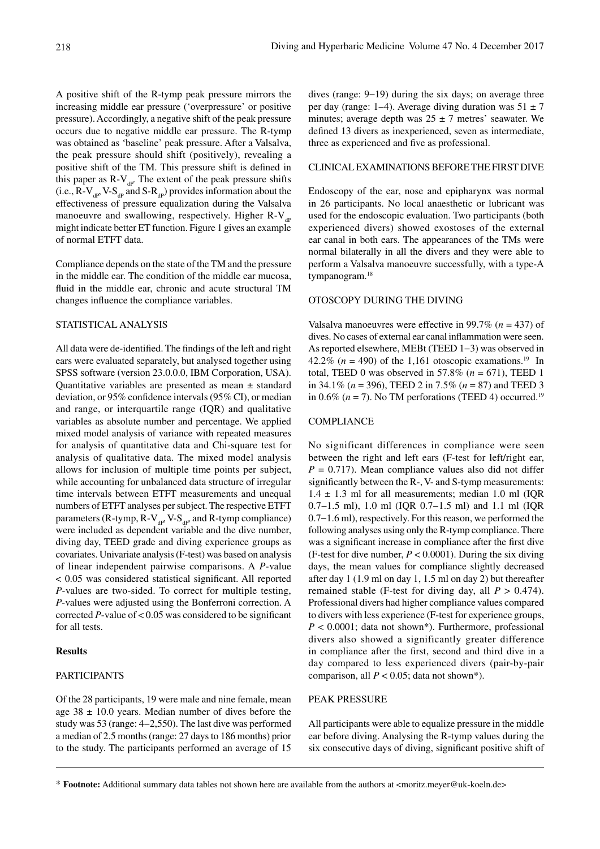A positive shift of the R-tymp peak pressure mirrors the increasing middle ear pressure ('overpressure' or positive pressure). Accordingly, a negative shift of the peak pressure occurs due to negative middle ear pressure. The R-tymp was obtained as 'baseline' peak pressure. After a Valsalva, the peak pressure should shift (positively), revealing a positive shift of the TM. This pressure shift is defined in this paper as  $R-V_{\text{dp}}$ . The extent of the peak pressure shifts (i.e.,  $R-V_{dp}$ ,  $V-S_{dp}$  and  $S-R_{dp}$ ) provides information about the effectiveness of pressure equalization during the Valsalva manoeuvre and swallowing, respectively. Higher  $R-V_{ap}$ might indicate better ET function. Figure 1 gives an example of normal ETFT data.

Compliance depends on the state of the TM and the pressure in the middle ear. The condition of the middle ear mucosa, fluid in the middle ear, chronic and acute structural TM changes influence the compliance variables.

# STATISTICAL ANALYSIS

All data were de-identified. The findings of the left and right ears were evaluated separately, but analysed together using SPSS software (version 23.0.0.0, IBM Corporation, USA). Quantitative variables are presented as mean  $\pm$  standard deviation, or 95% confidence intervals (95% CI), or median and range, or interquartile range (IQR) and qualitative variables as absolute number and percentage. We applied mixed model analysis of variance with repeated measures for analysis of quantitative data and Chi-square test for analysis of qualitative data. The mixed model analysis allows for inclusion of multiple time points per subject, while accounting for unbalanced data structure of irregular time intervals between ETFT measurements and unequal numbers of ETFT analyses per subject. The respective ETFT parameters (R-tymp, R-V $_{dp}$ , V-S<sub>dP</sub>, and R-tymp compliance) were included as dependent variable and the dive number, diving day, TEED grade and diving experience groups as covariates. Univariate analysis (F-test) was based on analysis of linear independent pairwise comparisons. A *P*-value < 0.05 was considered statistical significant. All reported *P*-values are two-sided. To correct for multiple testing, *P*-values were adjusted using the Bonferroni correction. A corrected  $P$ -value of  $< 0.05$  was considered to be significant for all tests.

# **Results**

#### PARTICIPANTS

Of the 28 participants, 19 were male and nine female, mean age  $38 \pm 10.0$  years. Median number of dives before the study was 53 (range: 4−2,550). The last dive was performed a median of 2.5 months (range: 27 days to 186 months) prior to the study. The participants performed an average of 15 dives (range: 9−19) during the six days; on average three per day (range: 1−4). Average diving duration was 51 ± 7 minutes; average depth was  $25 \pm 7$  metres' seawater. We defined 13 divers as inexperienced, seven as intermediate, three as experienced and five as professional.

#### CLINICAL EXAMINATIONS BEFORE THE FIRST DIVE

Endoscopy of the ear, nose and epipharynx was normal in 26 participants. No local anaesthetic or lubricant was used for the endoscopic evaluation. Two participants (both experienced divers) showed exostoses of the external ear canal in both ears. The appearances of the TMs were normal bilaterally in all the divers and they were able to perform a Valsalva manoeuvre successfully, with a type-A tympanogram.<sup>18</sup>

#### OTOSCOPY DURING THE DIVING

Valsalva manoeuvres were effective in 99.7% (*n* = 437) of dives. No cases of external ear canal inflammation were seen. As reported elsewhere, MEBt (TEED 1−3) was observed in 42.2% ( $n = 490$ ) of the 1,161 otoscopic examations.<sup>19</sup> In total, TEED 0 was observed in 57.8% (*n* = 671), TEED 1 in 34.1% (*n* = 396), TEED 2 in 7.5% (*n* = 87) and TEED 3 in 0.6% ( $n = 7$ ). No TM perforations (TEED 4) occurred.<sup>19</sup>

# COMPLIANCE

No significant differences in compliance were seen between the right and left ears (F-test for left/right ear,  $P = 0.717$ ). Mean compliance values also did not differ significantly between the R-, V- and S-tymp measurements:  $1.4 \pm 1.3$  ml for all measurements; median 1.0 ml (IQR 0.7−1.5 ml), 1.0 ml (IQR 0.7−1.5 ml) and 1.1 ml (IQR 0.7−1.6 ml), respectively. For this reason, we performed the following analyses using only the R-tymp compliance. There was a significant increase in compliance after the first dive (F-test for dive number,  $P < 0.0001$ ). During the six diving days, the mean values for compliance slightly decreased after day 1 (1.9 ml on day 1, 1.5 ml on day 2) but thereafter remained stable (F-test for diving day, all  $P > 0.474$ ). Professional divers had higher compliance values compared to divers with less experience (F-test for experience groups, *P* < 0.0001; data not shown\*). Furthermore, professional divers also showed a significantly greater difference in compliance after the first, second and third dive in a day compared to less experienced divers (pair-by-pair comparison, all  $P < 0.05$ ; data not shown\*).

# PEAK PRESSURE

All participants were able to equalize pressure in the middle ear before diving. Analysing the R-tymp values during the six consecutive days of diving, significant positive shift of

<sup>\*</sup> **Footnote:** Additional summary data tables not shown here are available from the authors at <moritz.meyer@uk-koeln.de>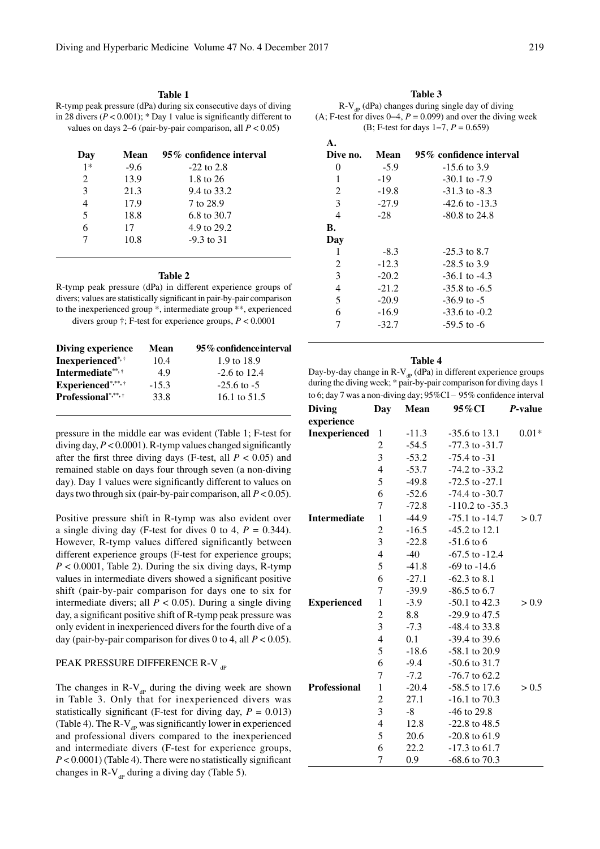#### **Table 1**

R-tymp peak pressure (dPa) during six consecutive days of diving in 28 divers  $(P < 0.001)$ ; \* Day 1 value is significantly different to values on days 2–6 (pair-by-pair comparison, all  $P < 0.05$ )

| Day            | Mean   | 95% confidence interval |
|----------------|--------|-------------------------|
| $1*$           | $-9.6$ | $-22$ to 2.8            |
| $\mathfrak{D}$ | 13.9   | 1.8 to 26               |
| $\mathcal{E}$  | 21.3   | 9.4 to 33.2             |
| $\overline{4}$ | 17.9   | 7 to 28.9               |
| 5              | 18.8   | 6.8 to 30.7             |
| 6              | 17     | 4.9 to 29.2             |
|                | 10.8   | $-9.3$ to 31            |

#### **Table 2**

R-tymp peak pressure (dPa) in different experience groups of divers; values are statistically significant in pair-by-pair comparison to the inexperienced group \*, intermediate group \*\*, experienced divers group †; F-test for experience groups, *P* < 0.0001

| Diving experience          | Mean    | 95% confidence interval |
|----------------------------|---------|-------------------------|
| Inexperienced*,*           | 10.4    | 1.9 to 18.9             |
| Intermediate**,*           | 4.9     | $-2.6$ to 12.4          |
| Experienced*,**, †         | $-15.3$ | $-25.6$ to $-5$         |
| <b>Professional</b> *,**,+ | 33.8    | 16.1 to 51.5            |
|                            |         |                         |

pressure in the middle ear was evident (Table 1; F-test for diving day, *P* < 0.0001). R-tymp values changed significantly after the first three diving days (F-test, all  $P < 0.05$ ) and remained stable on days four through seven (a non-diving day). Day 1 values were significantly different to values on days two through six (pair-by-pair comparison, all  $P < 0.05$ ).

Positive pressure shift in R-tymp was also evident over a single diving day (F-test for dives 0 to 4,  $P = 0.344$ ). However, R-tymp values differed significantly between different experience groups (F-test for experience groups;  $P < 0.0001$ , Table 2). During the six diving days, R-tymp values in intermediate divers showed a significant positive shift (pair-by-pair comparison for days one to six for intermediate divers; all  $P < 0.05$ ). During a single diving day, a significant positive shift of R-tymp peak pressure was only evident in inexperienced divers for the fourth dive of a day (pair-by-pair comparison for dives 0 to 4, all  $P < 0.05$ ).

#### PEAK PRESSURE DIFFERENCE R-V dp

The changes in  $R-V_{dp}$  during the diving week are shown in Table 3. Only that for inexperienced divers was statistically significant (F-test for diving day,  $P = 0.013$ ) (Table 4). The R-V $_{\text{dp}}$  was significantly lower in experienced and professional divers compared to the inexperienced and intermediate divers (F-test for experience groups, *P* < 0.0001) (Table 4). There were no statistically significant changes in R-V $_{dp}$  during a diving day (Table 5).

# **Table 3**

 $R-V_{\text{an}}$  (dPa) changes during single day of diving (A; F-test for dives  $0-4$ ,  $P = 0.099$ ) and over the diving week (B; F-test for days 1−7, *P* = 0.659)

| Dive no. | Mean    | 95% confidence interval |
|----------|---------|-------------------------|
| $\Omega$ | $-5.9$  | $-15.6$ to 3.9          |
| 1        | -19     | $-30.1$ to $-7.9$       |
| 2        | $-19.8$ | $-31.3$ to $-8.3$       |
| 3        | $-27.9$ | $-42.6$ to $-13.3$      |
| 4        | $-28$   | $-80.8$ to 24.8         |
| В.       |         |                         |
| Day      |         |                         |
| 1        | $-8.3$  | $-25.3$ to 8.7          |
| 2        | $-12.3$ | $-28.5$ to 3.9          |
| 3        | $-20.2$ | $-36.1$ to $-4.3$       |
| 4        | $-21.2$ | $-35.8$ to $-6.5$       |
| 5        | $-20.9$ | $-36.9$ to $-5$         |
| 6        | $-16.9$ | $-33.6$ to $-0.2$       |
| 7        | $-32.7$ | $-59.5$ to $-6$         |
|          |         |                         |

#### **Table 4**

Day-by-day change in R-V $_{\text{dp}}$  (dPa) in different experience groups during the diving week; \* pair-by-pair comparison for diving days 1 to 6; day 7 was a non-diving day; 95%CI – 95% confidence interval

| <b>Diving</b>       | Day            | Mean    | 95% CI              | <i>P</i> -value |
|---------------------|----------------|---------|---------------------|-----------------|
| experience          |                |         |                     |                 |
| Inexperienced       | 1              | $-11.3$ | $-35.6$ to 13.1     | $0.01*$         |
|                     | $\overline{c}$ | $-54.5$ | $-77.3$ to $-31.7$  |                 |
|                     | 3              | $-53.2$ | $-75.4$ to $-31$    |                 |
|                     | $\overline{4}$ | $-53.7$ | $-74.2$ to $-33.2$  |                 |
|                     | 5              | $-49.8$ | $-72.5$ to $-27.1$  |                 |
|                     | 6              | $-52.6$ | $-74.4$ to $-30.7$  |                 |
|                     | 7              | $-72.8$ | $-110.2$ to $-35.3$ |                 |
| <b>Intermediate</b> | $\mathbf{1}$   | $-44.9$ | $-75.1$ to $-14.7$  | > 0.7           |
|                     | $\overline{c}$ | $-16.5$ | $-45.2$ to 12.1     |                 |
|                     | 3              | $-22.8$ | $-51.6$ to 6        |                 |
|                     | $\overline{4}$ | $-40$   | $-67.5$ to $-12.4$  |                 |
|                     | 5              | $-41.8$ | $-69$ to $-14.6$    |                 |
|                     | 6              | $-27.1$ | $-62.3$ to 8.1      |                 |
|                     | 7              | $-39.9$ | $-86.5$ to 6.7      |                 |
| <b>Experienced</b>  | $\mathbf{1}$   | $-3.9$  | $-50.1$ to 42.3     | > 0.9           |
|                     | $\overline{c}$ | 8.8     | $-29.9$ to 47.5     |                 |
|                     | 3              | $-7.3$  | $-48.4$ to 33.8     |                 |
|                     | $\overline{4}$ | 0.1     | $-39.4$ to 39.6     |                 |
|                     | 5              | $-18.6$ | $-58.1$ to 20.9     |                 |
|                     | 6              | $-9.4$  | $-50.6$ to 31.7     |                 |
|                     | 7              | $-7.2$  | $-76.7$ to 62.2     |                 |
| <b>Professional</b> | $\mathbf{1}$   | $-20.4$ | $-58.5$ to 17.6     | > 0.5           |
|                     | $\overline{c}$ | 27.1    | $-16.1$ to $70.3$   |                 |
|                     | 3              | $-8$    | $-46$ to 29.8       |                 |
|                     | $\overline{4}$ | 12.8    | $-22.8$ to 48.5     |                 |
|                     | 5              | 20.6    | $-20.8$ to 61.9     |                 |
|                     | 6              | 22.2    | $-17.3$ to 61.7     |                 |
|                     | 7              | 0.9     | $-68.6$ to $70.3$   |                 |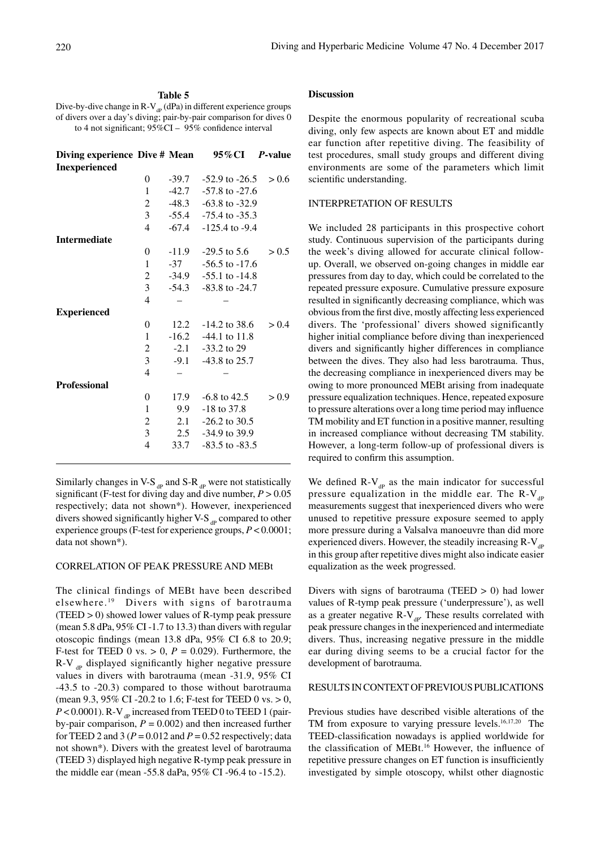# **Table 5**

Dive-by-dive change in R-V<sub>dP</sub> (dPa) in different experience groups of divers over a day's diving; pair-by-pair comparison for dives 0 to 4 not significant; 95%CI – 95% confidence interval

| Diving experience Dive $#$ Mean $95\%$ CI |                |         |                            | P-value |
|-------------------------------------------|----------------|---------|----------------------------|---------|
| Inexperienced                             |                |         |                            |         |
|                                           | $\theta$       | $-39.7$ | $-52.9$ to $-26.5$ $> 0.6$ |         |
|                                           | 1              | -42.7   | $-57.8$ to $-27.6$         |         |
|                                           | $\overline{c}$ |         | $-48.3 -63.8$ to $-32.9$   |         |
|                                           | 3              |         | $-55.4$ $-75.4$ to $-35.3$ |         |
|                                           | $\overline{4}$ |         | $-67.4$ $-125.4$ to $-9.4$ |         |
| <b>Intermediate</b>                       |                |         |                            |         |
|                                           | $\theta$       |         | $-11.9$ $-29.5$ to 5.6     | > 0.5   |
|                                           | 1              | $-37$   | $-56.5$ to $-17.6$         |         |
|                                           | $\overline{c}$ |         | $-34.9$ $-55.1$ to $-14.8$ |         |
|                                           | 3              |         | $-54.3 - 83.8$ to $-24.7$  |         |
|                                           | $\overline{4}$ |         |                            |         |
| <b>Experienced</b>                        |                |         |                            |         |
|                                           | 0              |         | 12.2 $-14.2$ to 38.6       | > 0.4   |
|                                           | 1              |         | $-16.2$ $-44.1$ to 11.8    |         |
|                                           | $\overline{c}$ |         | $-2.1 - 33.2$ to 29        |         |
|                                           | 3              |         | $-9.1 - 43.8$ to 25.7      |         |
|                                           | $\overline{4}$ |         |                            |         |
| <b>Professional</b>                       |                |         |                            |         |
|                                           | 0              | 17.9    | $-6.8$ to 42.5             | > 0.9   |
|                                           | 1              | 9.9     | $-18$ to 37.8              |         |
|                                           | $\overline{c}$ |         | 2.1 $-26.2$ to 30.5        |         |
|                                           | 3              | 2.5     | $-34.9$ to 39.9            |         |
|                                           | 4              | 33.7    | $-83.5$ to $-83.5$         |         |
|                                           |                |         |                            |         |

Similarly changes in V-S  $_{\text{dp}}$  and S-R  $_{\text{dp}}$  were not statistically significant (F-test for diving day and dive number, *P* > 0.05 respectively; data not shown\*). However, inexperienced divers showed significantly higher V-S  $_{\text{dp}}$  compared to other experience groups (F-test for experience groups, *P* < 0.0001; data not shown\*).

# CORRELATION OF PEAK PRESSURE AND MEBt

The clinical findings of MEBt have been described elsewhere. 19 Divers with signs of barotrauma (TEED > 0) showed lower values of R-tymp peak pressure (mean 5.8 dPa, 95% CI -1.7 to 13.3) than divers with regular otoscopic findings (mean 13.8 dPa, 95% CI 6.8 to 20.9; F-test for TEED 0 vs.  $> 0$ ,  $P = 0.029$ ). Furthermore, the  $R-V$ <sub>dp</sub> displayed significantly higher negative pressure values in divers with barotrauma (mean -31.9, 95% CI -43.5 to -20.3) compared to those without barotrauma (mean 9.3, 95% CI -20.2 to 1.6; F-test for TEED 0 vs. > 0,  $P < 0.0001$ ). R-V  $_{\text{ap}}$  increased from TEED 0 to TEED 1 (pairby-pair comparison,  $P = 0.002$ ) and then increased further for TEED 2 and 3 ( $P = 0.012$  and  $P = 0.52$  respectively; data not shown\*). Divers with the greatest level of barotrauma (TEED 3) displayed high negative R-tymp peak pressure in the middle ear (mean -55.8 daPa, 95% CI -96.4 to -15.2).

# **Discussion**

Despite the enormous popularity of recreational scuba diving, only few aspects are known about ET and middle ear function after repetitive diving. The feasibility of test procedures, small study groups and different diving environments are some of the parameters which limit scientific understanding.

# INTERPRETATION OF RESULTS

We included 28 participants in this prospective cohort study. Continuous supervision of the participants during the week's diving allowed for accurate clinical followup. Overall, we observed on-going changes in middle ear pressures from day to day, which could be correlated to the repeated pressure exposure. Cumulative pressure exposure resulted in significantly decreasing compliance, which was obvious from the first dive, mostly affecting less experienced divers. The 'professional' divers showed significantly higher initial compliance before diving than inexperienced divers and significantly higher differences in compliance between the dives. They also had less barotrauma. Thus, the decreasing compliance in inexperienced divers may be owing to more pronounced MEBt arising from inadequate pressure equalization techniques. Hence, repeated exposure to pressure alterations over a long time period may influence TM mobility and ET function in a positive manner, resulting in increased compliance without decreasing TM stability. However, a long-term follow-up of professional divers is required to confirm this assumption.

We defined  $R-V_{dp}$  as the main indicator for successful pressure equalization in the middle ear. The  $R-V_{dp}$ measurements suggest that inexperienced divers who were unused to repetitive pressure exposure seemed to apply more pressure during a Valsalva manoeuvre than did more experienced divers. However, the steadily increasing  $R-V_{\text{ap}}$ in this group after repetitive dives might also indicate easier equalization as the week progressed.

Divers with signs of barotrauma (TEED  $> 0$ ) had lower values of R-tymp peak pressure ('underpressure'), as well as a greater negative  $R-V_{\text{dp}}$ . These results correlated with peak pressure changes in the inexperienced and intermediate divers. Thus, increasing negative pressure in the middle ear during diving seems to be a crucial factor for the development of barotrauma.

### RESULTS IN CONTEXT OF PREVIOUS PUBLICATIONS

Previous studies have described visible alterations of the TM from exposure to varying pressure levels.<sup>16,17,20</sup> The TEED-classification nowadays is applied worldwide for the classification of MEBt.<sup>16</sup> However, the influence of repetitive pressure changes on ET function is insufficiently investigated by simple otoscopy, whilst other diagnostic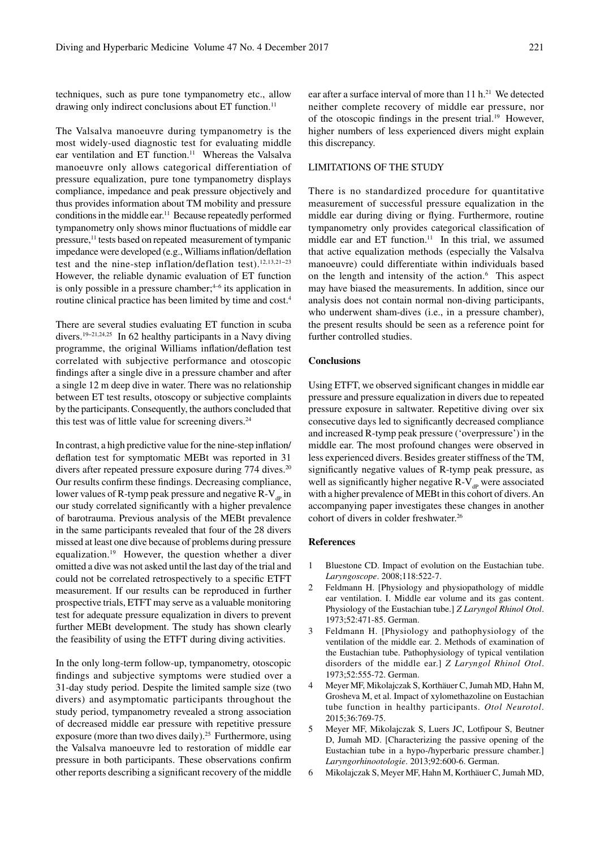techniques, such as pure tone tympanometry etc., allow drawing only indirect conclusions about ET function.<sup>11</sup>

The Valsalva manoeuvre during tympanometry is the most widely-used diagnostic test for evaluating middle ear ventilation and ET function.<sup>11</sup> Whereas the Valsalva manoeuvre only allows categorical differentiation of pressure equalization, pure tone tympanometry displays compliance, impedance and peak pressure objectively and thus provides information about TM mobility and pressure conditions in the middle ear.<sup>11</sup> Because repeatedly performed tympanometry only shows minor fluctuations of middle ear pressure,11 tests based on repeated measurement of tympanic impedance were developed (e.g., Williams inflation/deflation test and the nine-step inflation/deflation test).12,13,21−23 However, the reliable dynamic evaluation of ET function is only possible in a pressure chamber; $4-6$  its application in routine clinical practice has been limited by time and cost.4

There are several studies evaluating ET function in scuba divers.19−21,24,25 In 62 healthy participants in a Navy diving programme, the original Williams inflation/deflation test correlated with subjective performance and otoscopic findings after a single dive in a pressure chamber and after a single 12 m deep dive in water. There was no relationship between ET test results, otoscopy or subjective complaints by the participants. Consequently, the authors concluded that this test was of little value for screening divers. $24$ 

In contrast, a high predictive value for the nine-step inflation/ deflation test for symptomatic MEBt was reported in 31 divers after repeated pressure exposure during 774 dives.<sup>20</sup> Our results confirm these findings. Decreasing compliance, lower values of R-tymp peak pressure and negative  $R-V_{\text{d}}$  in our study correlated significantly with a higher prevalence of barotrauma. Previous analysis of the MEBt prevalence in the same participants revealed that four of the 28 divers missed at least one dive because of problems during pressure equalization.19 However, the question whether a diver omitted a dive was not asked until the last day of the trial and could not be correlated retrospectively to a specific ETFT measurement. If our results can be reproduced in further prospective trials, ETFT may serve as a valuable monitoring test for adequate pressure equalization in divers to prevent further MEBt development. The study has shown clearly the feasibility of using the ETFT during diving activities.

In the only long-term follow-up, tympanometry, otoscopic findings and subjective symptoms were studied over a 31-day study period. Despite the limited sample size (two divers) and asymptomatic participants throughout the study period, tympanometry revealed a strong association of decreased middle ear pressure with repetitive pressure exposure (more than two dives daily).<sup>25</sup> Furthermore, using the Valsalva manoeuvre led to restoration of middle ear pressure in both participants. These observations confirm other reports describing a significant recovery of the middle ear after a surface interval of more than 11 h.<sup>21</sup> We detected neither complete recovery of middle ear pressure, nor of the otoscopic findings in the present trial.<sup>19</sup> However, higher numbers of less experienced divers might explain this discrepancy.

# LIMITATIONS OF THE STUDY

There is no standardized procedure for quantitative measurement of successful pressure equalization in the middle ear during diving or flying. Furthermore, routine tympanometry only provides categorical classification of middle ear and ET function.<sup>11</sup> In this trial, we assumed that active equalization methods (especially the Valsalva manoeuvre) could differentiate within individuals based on the length and intensity of the action.<sup>6</sup> This aspect may have biased the measurements. In addition, since our analysis does not contain normal non-diving participants, who underwent sham-dives (i.e., in a pressure chamber), the present results should be seen as a reference point for further controlled studies.

#### **Conclusions**

Using ETFT, we observed significant changes in middle ear pressure and pressure equalization in divers due to repeated pressure exposure in saltwater. Repetitive diving over six consecutive days led to significantly decreased compliance and increased R-tymp peak pressure ('overpressure') in the middle ear. The most profound changes were observed in less experienced divers. Besides greater stiffness of the TM, significantly negative values of R-tymp peak pressure, as well as significantly higher negative  $R-V_{dp}$  were associated with a higher prevalence of MEBt in this cohort of divers. An accompanying paper investigates these changes in another cohort of divers in colder freshwater.26

#### **References**

- 1 Bluestone CD. Impact of evolution on the Eustachian tube. *Laryngoscope*. 2008;118:522-7.
- 2 Feldmann H. [Physiology and physiopathology of middle ear ventilation. I. Middle ear volume and its gas content. Physiology of the Eustachian tube.] *Z Laryngol Rhinol Otol*. 1973;52:471-85. German.
- 3 Feldmann H. [Physiology and pathophysiology of the ventilation of the middle ear. 2. Methods of examination of the Eustachian tube. Pathophysiology of typical ventilation disorders of the middle ear.] *Z Laryngol Rhinol Otol*. 1973;52:555-72. German.
- 4 Meyer MF, Mikolajczak S, Korthäuer C, Jumah MD, Hahn M, Grosheva M, et al. Impact of xylomethazoline on Eustachian tube function in healthy participants. *Otol Neurotol*. 2015;36:769-75.
- 5 Meyer MF, Mikolajczak S, Luers JC, Lotfipour S, Beutner D, Jumah MD. [Characterizing the passive opening of the Eustachian tube in a hypo-/hyperbaric pressure chamber.] *Laryngorhinootologie*. 2013;92:600-6. German.
- 6 Mikolajczak S, Meyer MF, Hahn M, Korthäuer C, Jumah MD,